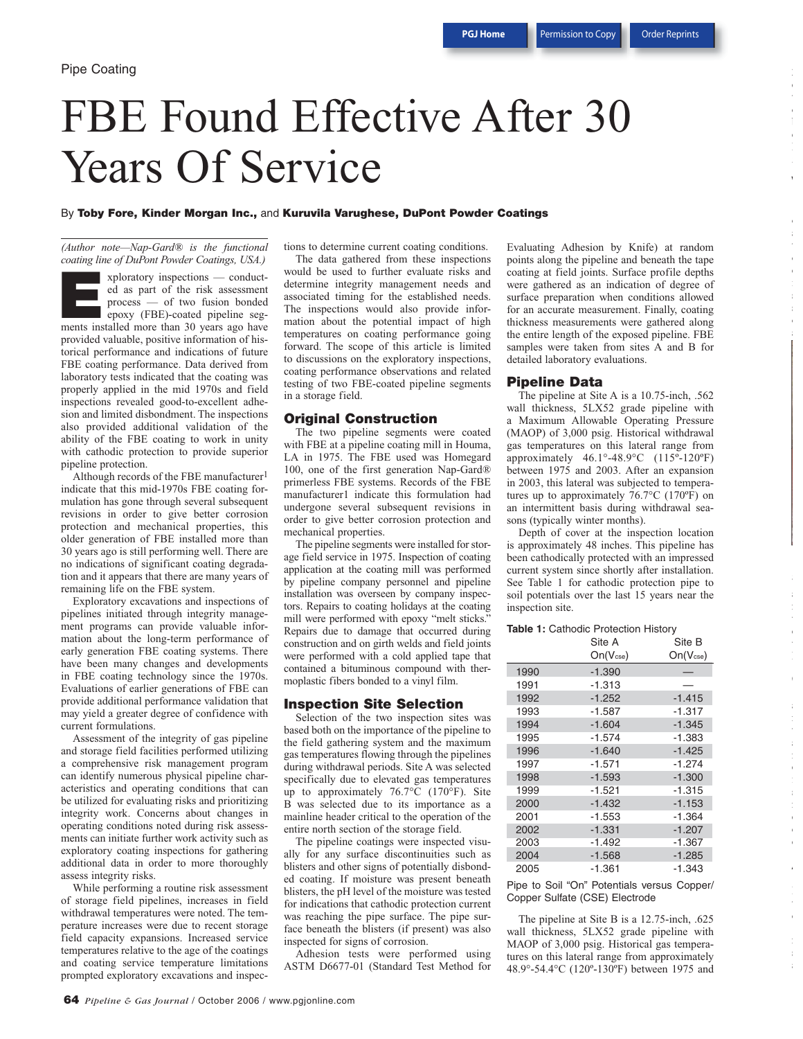e t d c

**V**

o a t o e

o a

a

c

**C**

a t a c

e c c **A**

t o

a

# FBE Found Effective After 30 Years Of Service

#### By **Toby Fore, Kinder Morgan Inc.,** and **Kuruvila Varughese, DuPont Powder Coatings**

*(Author note—Nap-Gard® is the functional coating line of DuPont Powder Coatings, USA.)*

xploratory inspections — conducted as part of the risk assessment process — of two fusion bonded epoxy (FBE)-coated pipeline segxploratory inspections — conducted as part of the risk assessment<br>process — of two fusion bonded<br>epoxy (FBE)-coated pipeline seg-<br>ments installed more than 30 years ago have provided valuable, positive information of historical performance and indications of future FBE coating performance. Data derived from laboratory tests indicated that the coating was properly applied in the mid 1970s and field inspections revealed good-to-excellent adhesion and limited disbondment. The inspections also provided additional validation of the ability of the FBE coating to work in unity with cathodic protection to provide superior pipeline protection.

Although records of the FBE manufacturer<sup>1</sup> indicate that this mid-1970s FBE coating formulation has gone through several subsequent revisions in order to give better corrosion protection and mechanical properties, this older generation of FBE installed more than 30 years ago is still performing well. There are no indications of significant coating degradation and it appears that there are many years of remaining life on the FBE system.

Exploratory excavations and inspections of pipelines initiated through integrity management programs can provide valuable information about the long-term performance of early generation FBE coating systems. There have been many changes and developments in FBE coating technology since the 1970s. Evaluations of earlier generations of FBE can provide additional performance validation that may yield a greater degree of confidence with current formulations.

Assessment of the integrity of gas pipeline and storage field facilities performed utilizing a comprehensive risk management program can identify numerous physical pipeline characteristics and operating conditions that can be utilized for evaluating risks and prioritizing integrity work. Concerns about changes in operating conditions noted during risk assessments can initiate further work activity such as exploratory coating inspections for gathering additional data in order to more thoroughly assess integrity risks.

While performing a routine risk assessment of storage field pipelines, increases in field withdrawal temperatures were noted. The temperature increases were due to recent storage field capacity expansions. Increased service temperatures relative to the age of the coatings and coating service temperature limitations prompted exploratory excavations and inspec-

tions to determine current coating conditions.

The data gathered from these inspections would be used to further evaluate risks and determine integrity management needs and associated timing for the established needs. The inspections would also provide information about the potential impact of high temperatures on coating performance going forward. The scope of this article is limited to discussions on the exploratory inspections, coating performance observations and related testing of two FBE-coated pipeline segments in a storage field.

## **Original Construction**

The two pipeline segments were coated with FBE at a pipeline coating mill in Houma, LA in 1975. The FBE used was Homegard 100, one of the first generation Nap-Gard® primerless FBE systems. Records of the FBE manufacturer1 indicate this formulation had undergone several subsequent revisions in order to give better corrosion protection and mechanical properties.

The pipeline segments were installed for storage field service in 1975. Inspection of coating application at the coating mill was performed by pipeline company personnel and pipeline installation was overseen by company inspectors. Repairs to coating holidays at the coating mill were performed with epoxy "melt sticks." Repairs due to damage that occurred during construction and on girth welds and field joints were performed with a cold applied tape that contained a bituminous compound with thermoplastic fibers bonded to a vinyl film.

#### **Inspection Site Selection**

Selection of the two inspection sites was based both on the importance of the pipeline to the field gathering system and the maximum gas temperatures flowing through the pipelines during withdrawal periods. Site A was selected specifically due to elevated gas temperatures up to approximately 76.7°C (170°F). Site B was selected due to its importance as a mainline header critical to the operation of the entire north section of the storage field.

The pipeline coatings were inspected visually for any surface discontinuities such as blisters and other signs of potentially disbonded coating. If moisture was present beneath blisters, the pH level of the moisture was tested for indications that cathodic protection current was reaching the pipe surface. The pipe surface beneath the blisters (if present) was also inspected for signs of corrosion.

Adhesion tests were performed using ASTM D6677-01 (Standard Test Method for

Evaluating Adhesion by Knife) at random points along the pipeline and beneath the tape coating at field joints. Surface profile depths were gathered as an indication of degree of surface preparation when conditions allowed for an accurate measurement. Finally, coating thickness measurements were gathered along the entire length of the exposed pipeline. FBE samples were taken from sites A and B for detailed laboratory evaluations.

#### **Pipeline Data**

The pipeline at Site A is a 10.75-inch, .562 wall thickness, 5LX52 grade pipeline with a Maximum Allowable Operating Pressure (MAOP) of 3,000 psig. Historical withdrawal gas temperatures on this lateral range from approximately 46.1°-48.9°C (115º-120ºF) between 1975 and 2003. After an expansion in 2003, this lateral was subjected to temperatures up to approximately 76.7°C (170ºF) on an intermittent basis during withdrawal seasons (typically winter months).

Depth of cover at the inspection location is approximately 48 inches. This pipeline has been cathodically protected with an impressed current system since shortly after installation. See Table 1 for cathodic protection pipe to soil potentials over the last 15 years near the inspection site.

#### **Table 1:** Cathodic Protection History

|      | Site A                | Site B                |
|------|-----------------------|-----------------------|
|      | On(V <sub>cse</sub> ) | On(V <sub>cse</sub> ) |
| 1990 | $-1.390$              |                       |
| 1991 | $-1.313$              |                       |
| 1992 | $-1.252$              | $-1.415$              |
| 1993 | $-1.587$              | $-1.317$              |
| 1994 | $-1.604$              | $-1.345$              |
| 1995 | $-1.574$              | $-1.383$              |
| 1996 | $-1.640$              | $-1.425$              |
| 1997 | $-1.571$              | $-1.274$              |
| 1998 | $-1.593$              | $-1.300$              |
| 1999 | $-1.521$              | $-1.315$              |
| 2000 | $-1.432$              | $-1.153$              |
| 2001 | $-1.553$              | $-1.364$              |
| 2002 | $-1.331$              | $-1.207$              |
| 2003 | $-1.492$              | $-1.367$              |
| 2004 | $-1.568$              | $-1.285$              |
| 2005 | $-1.361$              | $-1.343$              |

Pipe to Soil "On" Potentials versus Copper/ Copper Sulfate (CSE) Electrode

The pipeline at Site B is a 12.75-inch, .625 wall thickness, 5LX52 grade pipeline with MAOP of 3,000 psig. Historical gas temperatures on this lateral range from approximately 48.9°-54.4°C (120º-130ºF) between 1975 and